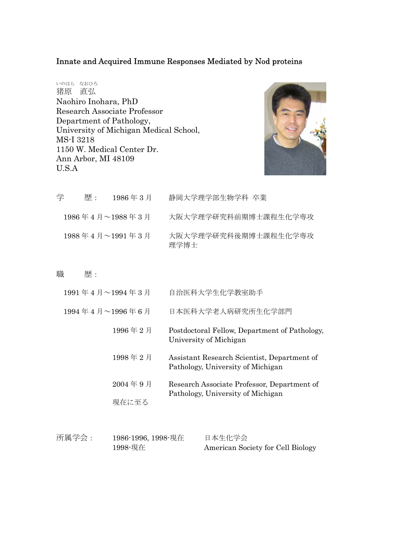## Innate and Acquired Immune Responses Mediated by Nod proteins

いのはら なおひろ 猪原 直弘 Naohiro Inohara, PhD Research Associate Professor Department of Pathology, University of Michigan Medical School, MS-I 3218 1150 W. Medical Center Dr. Ann Arbor, MI 48109 U.S.A



| 学 | 歴 : | $1986 \n\equiv 3 \n\equiv$                            | 静岡大学理学部生物学科 卒業               |
|---|-----|-------------------------------------------------------|------------------------------|
|   |     | 1986年4月~1988年3月                                       | 大阪大学理学研究科前期博士課程生化学専攻         |
|   |     | $1988 \n\equiv 4 \n\equiv 1991 \n\equiv 3 \n\equiv 1$ | 大阪大学理学研究科後期博士課程生化学専攻<br>理学博士 |

## 職 歴:

| 1991年4月~1994年3月  | 自治医科大学生化学教室助手                                                                    |
|------------------|----------------------------------------------------------------------------------|
| 1994年4月~1996年6月  | 日本医科大学老人病研究所生化学部門                                                                |
| 1996年2月          | Postdoctoral Fellow, Department of Pathology,<br>University of Michigan          |
| 1998年2月          | Assistant Research Scientist, Department of<br>Pathology, University of Michigan |
| 2004年9月<br>現在に至る | Research Associate Professor, Department of<br>Pathology, University of Michigan |
|                  |                                                                                  |

| 所属学会: | 1986-1996, 1998-現在 | 日本生化学会                            |
|-------|--------------------|-----------------------------------|
|       | 1998-現在            | American Society for Cell Biology |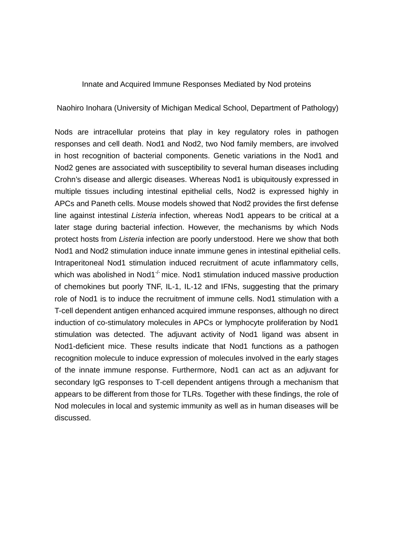## Innate and Acquired Immune Responses Mediated by Nod proteins

Naohiro Inohara (University of Michigan Medical School, Department of Pathology)

Nods are intracellular proteins that play in key regulatory roles in pathogen responses and cell death. Nod1 and Nod2, two Nod family members, are involved in host recognition of bacterial components. Genetic variations in the Nod1 and Nod2 genes are associated with susceptibility to several human diseases including Crohn's disease and allergic diseases. Whereas Nod1 is ubiquitously expressed in multiple tissues including intestinal epithelial cells, Nod2 is expressed highly in APCs and Paneth cells. Mouse models showed that Nod2 provides the first defense line against intestinal *Listeria* infection, whereas Nod1 appears to be critical at a later stage during bacterial infection. However, the mechanisms by which Nods protect hosts from *Listeria* infection are poorly understood. Here we show that both Nod1 and Nod2 stimulation induce innate immune genes in intestinal epithelial cells. Intraperitoneal Nod1 stimulation induced recruitment of acute inflammatory cells, which was abolished in Nod1 $^{\prime}$  mice. Nod1 stimulation induced massive production of chemokines but poorly TNF, IL-1, IL-12 and IFNs, suggesting that the primary role of Nod1 is to induce the recruitment of immune cells. Nod1 stimulation with a T-cell dependent antigen enhanced acquired immune responses, although no direct induction of co-stimulatory molecules in APCs or lymphocyte proliferation by Nod1 stimulation was detected. The adjuvant activity of Nod1 ligand was absent in Nod1-deficient mice. These results indicate that Nod1 functions as a pathogen recognition molecule to induce expression of molecules involved in the early stages of the innate immune response. Furthermore, Nod1 can act as an adjuvant for secondary IgG responses to T-cell dependent antigens through a mechanism that appears to be different from those for TLRs. Together with these findings, the role of Nod molecules in local and systemic immunity as well as in human diseases will be discussed.